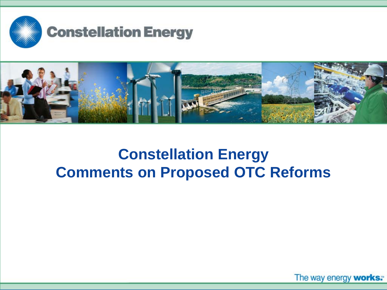



# **Constellation Energy Comments on Proposed OTC Reforms**

The way energy works™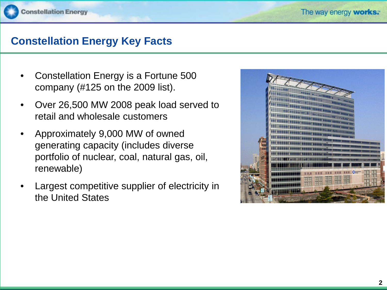## **Constellation Energy Key Facts**

- Constellation Energy is a Fortune 500 company (#125 on the 2009 list).
- Over 26,500 MW 2008 peak load served to retail and wholesale customers
- Approximately 9,000 MW of owned generating capacity (includes diverse portfolio of nuclear, coal, natural gas, oil, renewable)
- Largest competitive supplier of electricity in the United States

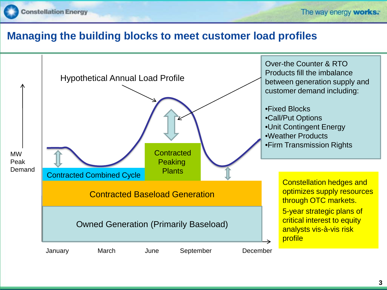

### **Managing the building blocks to meet customer load profiles**

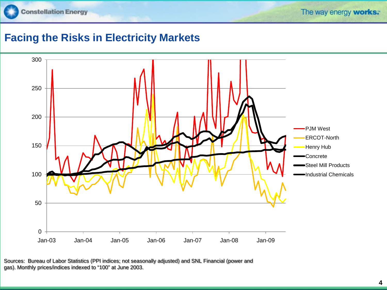

## **Facing the Risks in Electricity Markets**



Sources: Bureau of Labor Statistics (PPI indices; not seasonally adjusted) and SNL Financial (power and gas). Monthly prices/indices indexed to "100" at June 2003.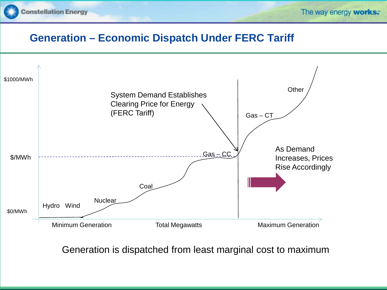

### **Generation – Economic Dispatch Under FERC Tariff**



Generation is dispatched from least marginal cost to maximum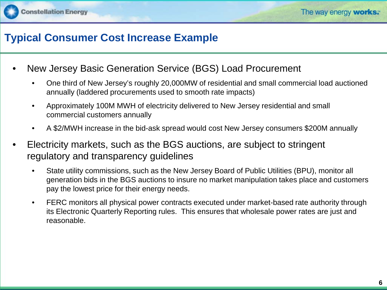

### **Typical Consumer Cost Increase Example**

- New Jersey Basic Generation Service (BGS) Load Procurement
	- One third of New Jersey's roughly 20,000MW of residential and small commercial load auctioned annually (laddered procurements used to smooth rate impacts)
	- Approximately 100M MWH of electricity delivered to New Jersey residential and small commercial customers annually
	- A \$2/MWH increase in the bid-ask spread would cost New Jersey consumers \$200M annually
- Electricity markets, such as the BGS auctions, are subject to stringent regulatory and transparency guidelines
	- State utility commissions, such as the New Jersey Board of Public Utilities (BPU), monitor all generation bids in the BGS auctions to insure no market manipulation takes place and customers pay the lowest price for their energy needs.
	- FERC monitors all physical power contracts executed under market-based rate authority through its Electronic Quarterly Reporting rules. This ensures that wholesale power rates are just and reasonable.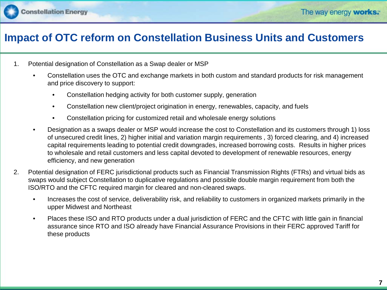

### **Impact of OTC reform on Constellation Business Units and Customers**

- 1. Potential designation of Constellation as a Swap dealer or MSP
	- Constellation uses the OTC and exchange markets in both custom and standard products for risk management and price discovery to support:
		- Constellation hedging activity for both customer supply, generation
		- Constellation new client/project origination in energy, renewables, capacity, and fuels
		- Constellation pricing for customized retail and wholesale energy solutions
	- Designation as a swaps dealer or MSP would increase the cost to Constellation and its customers through 1) loss of unsecured credit lines, 2) higher initial and variation margin requirements , 3) forced clearing, and 4) increased capital requirements leading to potential credit downgrades, increased borrowing costs. Results in higher prices to wholesale and retail customers and less capital devoted to development of renewable resources, energy efficiency, and new generation
- 2. Potential designation of FERC jurisdictional products such as Financial Transmission Rights (FTRs) and virtual bids as swaps would subject Constellation to duplicative regulations and possible double margin requirement from both the ISO/RTO and the CFTC required margin for cleared and non-cleared swaps.
	- Increases the cost of service, deliverability risk, and reliability to customers in organized markets primarily in the upper Midwest and Northeast
	- Places these ISO and RTO products under a dual jurisdiction of FERC and the CFTC with little gain in financial assurance since RTO and ISO already have Financial Assurance Provisions in their FERC approved Tariff for these products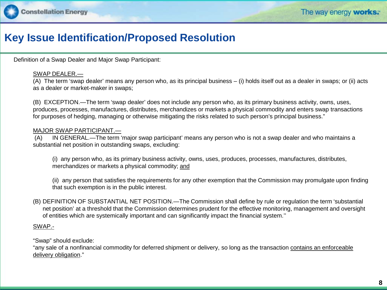### **Key Issue Identification/Proposed Resolution**

Definition of a Swap Dealer and Major Swap Participant:

### SWAP DEALER.—

(A) The term 'swap dealer' means any person who, as its principal business – (i) holds itself out as a dealer in swaps; or (ii) acts as a dealer or market-maker in swaps;

(B) EXCEPTION.—The term 'swap dealer' does not include any person who, as its primary business activity, owns, uses, produces, processes, manufactures, distributes, merchandizes or markets a physical commodity and enters swap transactions for purposes of hedging, managing or otherwise mitigating the risks related to such person's principal business."

### MAJOR SWAP PARTICIPANT.—

(A) IN GENERAL.—The term 'major swap participant' means any person who is not a swap dealer and who maintains a substantial net position in outstanding swaps, excluding:

(i) any person who, as its primary business activity, owns, uses, produces, processes, manufactures, distributes, merchandizes or markets a physical commodity; and

(ii) any person that satisfies the requirements for any other exemption that the Commission may promulgate upon finding that such exemption is in the public interest.

(B) DEFINITION OF SUBSTANTIAL NET POSITION.—The Commission shall define by rule or regulation the term 'substantial net position' at a threshold that the Commission determines prudent for the effective monitoring, management and oversight of entities which are systemically important and can significantly impact the financial system.''

### SWAP.-

"Swap" should exclude:

"any sale of a nonfinancial commodity for deferred shipment or delivery, so long as the transaction contains an enforceable delivery obligation."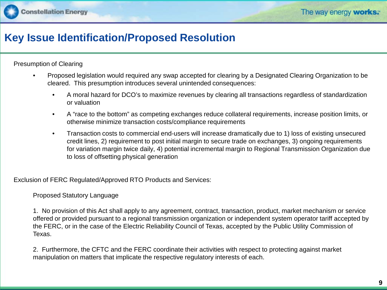### **Key Issue Identification/Proposed Resolution**

Presumption of Clearing

- Proposed legislation would required any swap accepted for clearing by a Designated Clearing Organization to be cleared. This presumption introduces several unintended consequences:
	- A moral hazard for DCO's to maximize revenues by clearing all transactions regardless of standardization or valuation
	- A "race to the bottom" as competing exchanges reduce collateral requirements, increase position limits, or otherwise minimize transaction costs/compliance requirements
	- Transaction costs to commercial end-users will increase dramatically due to 1) loss of existing unsecured credit lines, 2) requirement to post initial margin to secure trade on exchanges, 3) ongoing requirements for variation margin twice daily, 4) potential incremental margin to Regional Transmission Organization due to loss of offsetting physical generation

Exclusion of FERC Regulated/Approved RTO Products and Services:

Proposed Statutory Language

1. No provision of this Act shall apply to any agreement, contract, transaction, product, market mechanism or service offered or provided pursuant to a regional transmission organization or independent system operator tariff accepted by the FERC, or in the case of the Electric Reliability Council of Texas, accepted by the Public Utility Commission of Texas.

2. Furthermore, the CFTC and the FERC coordinate their activities with respect to protecting against market manipulation on matters that implicate the respective regulatory interests of each.